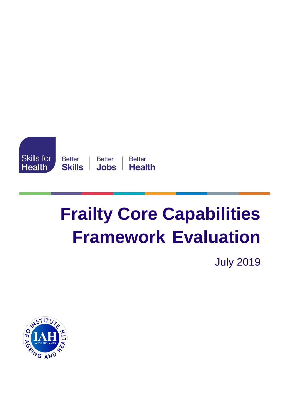

# **Frailty Core Capabilities Framework Evaluation**

July 2019

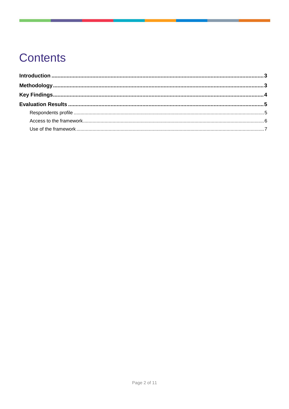# **Contents**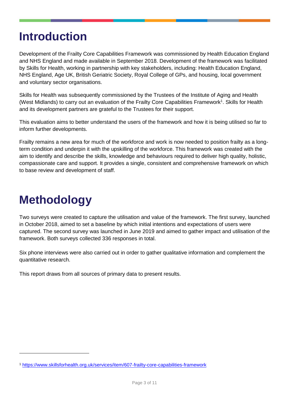### <span id="page-2-0"></span>**Introduction**

Development of the Frailty Core Capabilities Framework was commissioned by Health Education England and NHS England and made available in September 2018. Development of the framework was facilitated by Skills for Health, working in partnership with key stakeholders, including: Health Education England, NHS England, Age UK, British Geriatric Society, Royal College of GPs, and housing, local government and voluntary sector organisations.

Skills for Health was subsequently commissioned by the Trustees of the Institute of Aging and Health (West Midlands) to carry out an evaluation of the Frailty Core Capabilities Framework<sup>1</sup>. Skills for Health and its development partners are grateful to the Trustees for their support.

This evaluation aims to better understand the users of the framework and how it is being utilised so far to inform further developments.

Frailty remains a new area for much of the workforce and work is now needed to position frailty as a longterm condition and underpin it with the upskilling of the workforce. This framework was created with the aim to identify and describe the skills, knowledge and behaviours required to deliver high quality, holistic, compassionate care and support. It provides a single, consistent and comprehensive framework on which to base review and development of staff.

## <span id="page-2-1"></span>**Methodology**

-

Two surveys were created to capture the utilisation and value of the framework. The first survey, launched in October 2018, aimed to set a baseline by which initial intentions and expectations of users were captured. The second survey was launched in June 2019 and aimed to gather impact and utilisation of the framework. Both surveys collected 336 responses in total.

Six phone interviews were also carried out in order to gather qualitative information and complement the quantitative research.

This report draws from all sources of primary data to present results.

<sup>1</sup> <https://www.skillsforhealth.org.uk/services/item/607-frailty-core-capabilities-framework>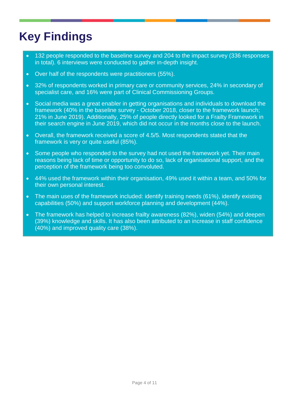# <span id="page-3-0"></span>**Key Findings**

- 132 people responded to the baseline survey and 204 to the impact survey (336 responses in total). 6 interviews were conducted to gather in-depth insight.
- Over half of the respondents were practitioners (55%).
- 32% of respondents worked in primary care or community services, 24% in secondary of specialist care, and 16% were part of Clinical Commissioning Groups.
- Social media was a great enabler in getting organisations and individuals to download the framework (40% in the baseline survey - October 2018, closer to the framework launch; 21% in June 2019). Additionally, 25% of people directly looked for a Frailty Framework in their search engine in June 2019, which did not occur in the months close to the launch.
- Overall, the framework received a score of 4.5/5. Most respondents stated that the framework is very or quite useful (85%).
- Some people who responded to the survey had not used the framework yet. Their main reasons being lack of time or opportunity to do so, lack of organisational support, and the perception of the framework being too convoluted.
- 44% used the framework within their organisation, 49% used it within a team, and 50% for their own personal interest.
- The main uses of the framework included: identify training needs (61%), identify existing capabilities (50%) and support workforce planning and development (44%).
- The framework has helped to increase frailty awareness (82%), widen (54%) and deepen (39%) knowledge and skills. It has also been attributed to an increase in staff confidence (40%) and improved quality care (38%).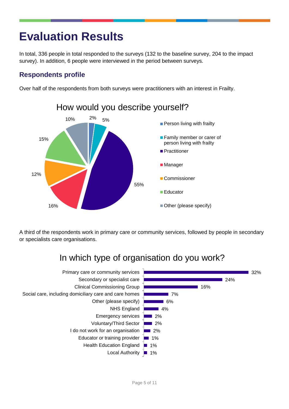### <span id="page-4-0"></span>**Evaluation Results**

In total, 336 people in total responded to the surveys (132 to the baseline survey, 204 to the impact survey). In addition, 6 people were interviewed in the period between surveys.

#### <span id="page-4-1"></span>**Respondents profile**

Over half of the respondents from both surveys were practitioners with an interest in Frailty.



A third of the respondents work in primary care or community services, followed by people in secondary or specialists care organisations.

### In which type of organisation do you work?

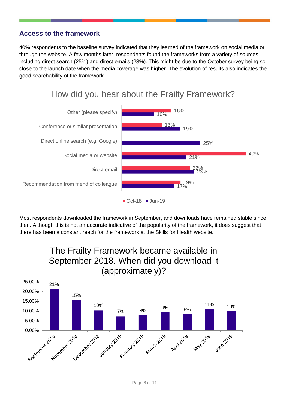#### <span id="page-5-0"></span>**Access to the framework**

40% respondents to the baseline survey indicated that they learned of the framework on social media or through the website. A few months later, respondents found the frameworks from a variety of sources including direct search (25%) and direct emails (23%). This might be due to the October survey being so close to the launch date when the media coverage was higher. The evolution of results also indicates the good searchability of the framework.



Most respondents downloaded the framework in September, and downloads have remained stable since then. Although this is not an accurate indicative of the popularity of the framework, it does suggest that there has been a constant reach for the framework at the Skills for Health website.



### How did you hear about the Frailty Framework?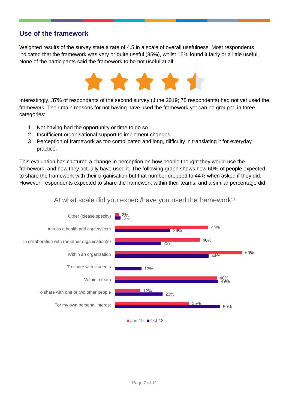#### <span id="page-6-0"></span>**Use of the framework**

Weighted results of the survey state a rate of 4.5 in a scale of overall usefulness. Most respondents indicated that the framework was very or quite useful (85%), whilst 15% found it fairly or a little useful. None of the participants said the framework to be not useful at all.



Interestingly, 37% of respondents of the second survey (June 2019; 75 respondents) had not yet used the framework. Their main reasons for not having have used the framework yet can be grouped in three categories:

- 1. Not having had the opportunity or time to do so.
- 2. Insufficient organisational support to implement changes.
- 3. Perception of framework as too complicated and long, difficulty in translating it for everyday practice.

This evaluation has captured a change in perception on how people thought they would use the framework, and how they actually have used it. The following graph shows how 60% of people expected to share the framework with their organisation but that number dropped to 44% when asked if they did. However, respondents expected to share the framework within their teams, and a similar percentage did.



#### At what scale did you expect/have you used the framework?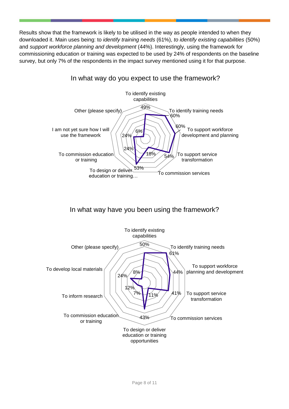Results show that the framework is likely to be utilised in the way as people intended to when they downloaded it. Main uses being: to *identify training needs* (61%), *to identify existing capabilities* (50%) and *support workforce planning and development* (44%). Interestingly, using the framework for commissioning education or training was expected to be used by 24% of respondents on the baseline survey, but only 7% of the respondents in the impact survey mentioned using it for that purpose.

#### In what way do you expect to use the framework?



#### In what way have you been using the framework?

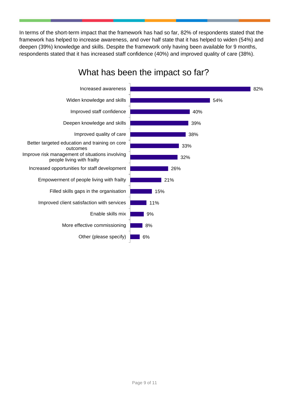In terms of the short-term impact that the framework has had so far, 82% of respondents stated that the framework has helped to increase awareness, and over half state that it has helped to widen (54%) and deepen (39%) knowledge and skills. Despite the framework only having been available for 9 months, respondents stated that it has increased staff confidence (40%) and improved quality of care (38%).



### What has been the impact so far?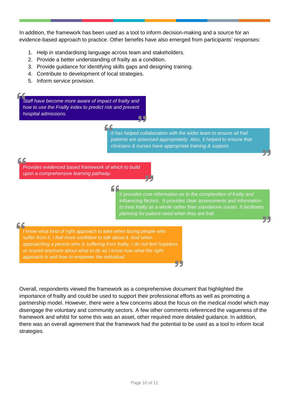In addition, the framework has been used as a tool to inform decision-making and a source for an evidence-based approach to practice. Other benefits have also emerged from participants' responses:

- 1. Help in standardising language across team and stakeholders.
- 2. Provide a better understanding of frailty as a condition.
- 3. Provide guidance for identifying skills gaps and designing training.
- 4. Contribute to development of local strategies.
- 5. Inform service provision.

*Staff have become more aware of impact of frailty and how to use the Frailty index to predict risk and prevent hospital admissions.*

> *It has helped collaboration with the wider team to ensure all frail patients are assessed appropriately. Also, it helped to ensure that clinicians & nurses have appropriate training & support.*

#### C

44

*Provides evidenced based framework of which to build upon a comprehensive learning pathway.*

> *It provides core information as to the complexities of frailty and influencing factors. It provides clear assessments and information to treat frailty as a whole rather than standalone issues. It facilitates planning for patient need when they are frail.*

*I know what kind of right approach to take when facing people who suffer from it. I feel more confident to talk about it. And when approaching a person who is suffering from frailty, I do not feel hopeless or scared anymore about what to do as I know now what the right approach is and how to empower the individual.*

Overall, respondents viewed the framework as a comprehensive document that highlighted the importance of frailty and could be used to support their professional efforts as well as promoting a partnership model. However, there were a few concerns about the focus on the medical model which may disengage the voluntary and community sectors. A few other comments referenced the vagueness of the framework and whilst for some this was an asset, other required more detailed guidance. In addition, there was an overall agreement that the framework had the potential to be used as a tool to inform local strategies.